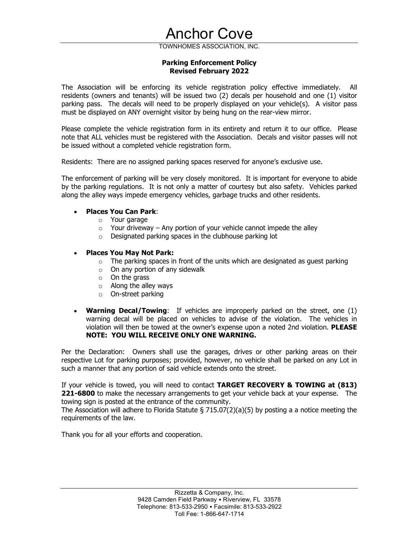# Anchor Cove<br>
TOWNHOMES ASSOCIATION, INC.<br>
Parking Enforcement Policy<br>
Revised February 2022<br>
Cing its vehicle registration policy effective immediately. All Parking Enforcement Policy

**Anchor Cove**<br>
WNHOMES ASSOCIATION, INC.<br> **Revised February 2022**<br> **its vehicle registration policy effective immediately.** All<br>
Le issued two (2) decals per household and one (1) visitor<br>
to be properly displayed on your **Anchor Cove**<br>
TOWNHOMES ASSOCIATION, INC.<br> **Parking Enforcement Policy<br>
Revised February 2022**<br>
The Association will be enforcing its vehicle registration policy effective immediately. All<br>
residents (owners and tenants) residents (owners and tenants) will be issued two (2) decals per household and one (1) visitor **Anchor Cove**<br>
TOWNHOMES ASSOCIATION, INC.<br> **Parking Enforcement Policy**<br> **Revised February 2022**<br>
The Association will be emforcing its vehicle registration policy effective immediately. All<br>
residents (owners and tenants **ANCHOT COVE**<br>
TOWNHOMES ASSOCIATION, INC.<br> **Parking Enforcement Policy<br>
Revised February 2022**<br>
The Association will be enforcing its vehicle registration policy effective immediately. All<br>
residents (owners and tenants) **Please complete the vehicle registration form in its entirety complement proference the vehicle registration policy effective immediately. All residents (owners and tenants) will be issued two (2) decals per household and** 

note that ALL vehicles must be registered with the Association. Decals and visitor passes will not be issued without a completed vehicle registration form. o. The decals will need to be properly displayed on your vehicle(s). A visitor pass<br>blayed on ANY overnight visitor by being hung on the rear-view mirror.<br>L vehicles must be registered with the Association. Decals and vis

Residents: There are no assigned parking spaces reserved for anyone's exclusive use.

The enforcement of parking will be very closely monitored. It is important for everyone to abide by the parking regulations. It is not only a matter of courtesy but also safety. Vehicles parked along the alley ways impede emergency vehicles, garbage trucks and other residents.

# Places You Can Park:

- o Your garage
- $\circ$  Your driveway Any portion of your vehicle cannot impede the alley
- o Designated parking spaces in the clubhouse parking lot

# Places You May Not Park:

- $\circ$  The parking spaces in front of the units which are designated as quest parking
- $\circ$  On any portion of any sidewalk
- 
- $\circ$  On the grass<br> $\circ$  Along the alley ways
- o On-street parking
- Warning Decal/Towing: If vehicles are improperly parked on the street, one (1) It Luct vehicles must be registered with the Association. Decals and visitor passes will not<br>
sis: There are no assigned parking spaces reserved for anyone's exclusive use.<br>
Dictancement of parking will be very dosely mon d without a completed venicle registration form.<br>
SI: There are no assigned parking spaces reserved for anyone's exclusive use.<br>
Diarotant of parking will be very dosely monitored. It is important for everyone to abide<br>
ba NOTE: YOU WILL RECEIVE ONLY ONE WARNING. **• Places You Can Park:**<br>
• Your driveway – Any portion of your vehicle cannot impede the alley<br>
• Your driveway – Any portion of your vehicle cannot impede the alley<br>
• Designated parking spaces in the clubhouse parking • **Places You can Park:**<br>
• Your garage<br>
• Your daragements to the clubhouse parking lot<br>
• Designated parking spaces in the dubhouse parking lot<br>
• **Places You May Not Park:**<br>
• **The parking spaces in front of the units**

Per the Declaration: Owners shall use the garages, drives or other parking areas on their respective Lot for parking purposes; provided, however, no vehicle shall be parked on any Lot in such a manner that any portion of said vehicle extends onto the street.

towing sign is posted at the entrance of the community.

The Association will adhere to Florida Statute § 715.07(2)(a)(5) by posting a a notice meeting the requirements of the law.

Thank you for all your efforts and cooperation.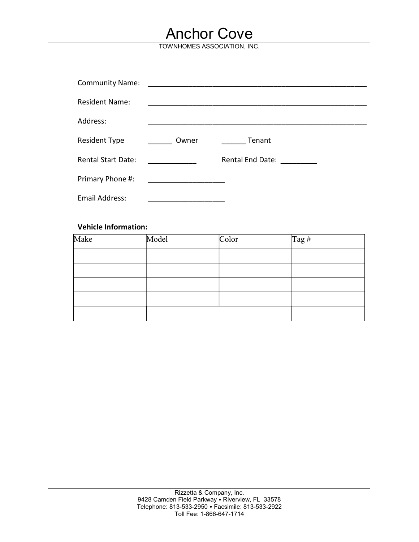# Anchor Cove

|                             | <b>Anchor Cove</b><br>TOWNHOMES ASSOCIATION, INC. |               |                            |  |
|-----------------------------|---------------------------------------------------|---------------|----------------------------|--|
|                             |                                                   |               |                            |  |
| <b>Community Name:</b>      |                                                   |               |                            |  |
| <b>Resident Name:</b>       |                                                   |               |                            |  |
| Address:                    |                                                   |               |                            |  |
| <b>Resident Type</b>        | Owner                                             | <b>Tenant</b> |                            |  |
| <b>Rental Start Date:</b>   |                                                   |               | Rental End Date: _________ |  |
| Primary Phone #:            |                                                   |               |                            |  |
| <b>Email Address:</b>       |                                                   |               |                            |  |
| <b>Vehicle Information:</b> |                                                   |               |                            |  |
| Make                        | Model                                             | Color         | Tag #                      |  |
|                             |                                                   |               |                            |  |
|                             |                                                   |               |                            |  |

# Vehicle Information:

| Make | Model | Color | $\log H$ |
|------|-------|-------|----------|
|      |       |       |          |
|      |       |       |          |
|      |       |       |          |
|      |       |       |          |
|      |       |       |          |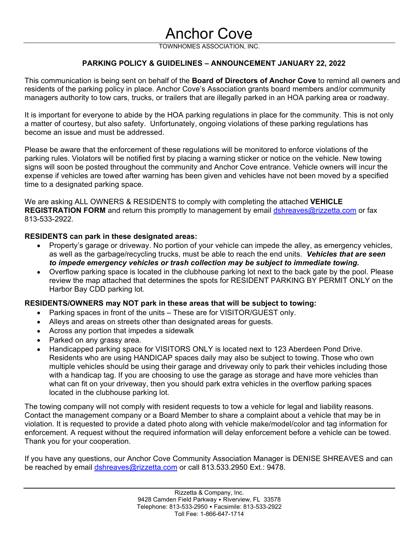# Anchor Cove

**Anchor Cove**<br>
TOWNHOMES ASSOCIATION, INC.<br> **SUIDELINES – ANNOUNCEMENT JANUARY 22, 2022**<br>
Anchor Cove's Association grants board members and/or community **Anchor Cove**<br>
TOWNHOMES ASSOCIATION, INC.<br>
PARKING POLICY & GUIDELINES – ANNOUNCEMENT JANUARY 22, 2022<br>
Sion is being sent on behalf of the Board of Directors of Anchor Cove to remind all owners and<br>
arking policy in plac **TOWNHOMES ASSOCIATION, INC.**<br>THIS COMMUNICATED PARKING POLICY & GUIDELINES – ANNOUNCEMENT JANUARY 22, 2022<br>This communication is being sent on behalf of the Board of Directors of Anchor Cove to remind all owners and<br>resid residents of the parking policy in place. Anchor Cove's Association grants board members and/or community managers authority to tow cars, trucks, or trailers that are illegally parked in an HOA parking area or roadway. **ANCHOT COVE**<br>
TOWNHOMES ASSOCIATION, INC.<br> **PARKING POLICY & GUIDELINES – ANNOUNCEMENT JANUARY 22, 2022**<br>
This communication is being sent on behalf of the **Board of Directors of Anchor Cove** to remind all owners and<br>
res

It is important for everyone to abide by the HOA parking regulations in place for the community. This is not only

**ANCHOT COVE**<br>
TOWNHOMES ASSOCIATION, INC.<br> **PARKING POLICY & GUIDELINES – ANNOUNCEMENT JANUAR**<br>
This communication is being sent on behalf of the **Board of Directors of Anchor Co**<br>
residents of the parking policy in place **PARKING POLICY & GUIDELINES - ANNOUNCEMENT JANUARY 22, 2022**<br>This communication is being sent on behalf of the **Board of Directors of Anchor Cove** to remind all owners and<br>residents of the parking policy in place. Annot C **PARKING POLICY & GUIDELINES – ANNOUNCEMENT JANUARY 22, 2022**<br>
This communication is being sent on behalf of the **Board of Directors of Anchor Cove** to remind all owners and<br>
residents of the parking prejudicy in place. An **SIGNS WERE THE SIGNS WERE ANTIGAT COVE**<br> **SIGNS TOWAL TOWAL TOWAL TOWAL ANCHOR ANCHOR COVERT SOMETAT SOME THE CONDUCT THE SOME THE SOMETHER SOMETHER SOMETHER SOMETHER SOMETHER ANCHOR COVERT SHOWS AN ANCHOR COVERT SOMETHER Experimentation**<br> **Experimentation Experimentation Experimentation Experimentation**<br> **Experimentation** is being sent on behalf of the **Board of Directors of Anchor Cove** to energial<br> **Experimentally the particular p EXECT THE SET AN ANCORATE AND THE SET AN ANDERT SET AND THE SET AND THE SET AND SET AND SET AND SET AND SET AND SET AND SET AND SET AND SET AND SET AND SET AND SET AND SET AND SET AND SET AND SET AND SET AND SET AND SET A ANCHOT COVE**<br>
TOWNHOMES ASSOCIATION, INC.<br> **PARKING POLICY & GUIDELINES – ANNOUNCEMENT JANUARY 22, 2022**<br>
This communication is being sent on behalf of the **Board of Directors of Anchor Gove** to remind all owners and<br>
res **EXECTS THE CONSTRATION FORM ANTIGO TO A CONSTRATION FOR ANTIGO TOWNHOONES ASSOCIATION, INC.**<br>This communication is being sent on behelf of the Board of Directors of Anchor Cove to remind all owners and<br>residents of the pa **PARKING POLICY & GUIDELINES – ANNOUNCEMENT JANUARY 22,**<br>This communication is being sent on behalf of the **Board of Directors of Anchor Cove** to<br>residents of the parking policy in place. Anchor Cove's Association grants b communication is being sent on behalf of the **Board of Directors of Anchor Cove** to remind all owners and<br>ensis of the parking policy in place. Anchor Cove's Association grants board members and/or community<br>agers authorit ts of the parking policy in place. Anchor Cove's Association grants board members and/or community<br>or ant for everyone to abide by the HOA parking regulations in place for the community. This is not only<br>or of courtesy, bu is authority to tow cars, trucks, or trailers that are illegally parked in an HOA parking area or roadway.<br>
Cortant for everyone to abide by the HOA parking regulations in place for the community. This is not only<br>
or fo c ortant for everyone to abide by the HOA parking regulations in place for the community. This is not only<br>or of courtesy, but also safely. Unfortunately, ongoing violations of these parking regulations has<br>an issue and must a mater of the mode of the mode will be mode that will be unitsered.<br>
Please be aware that the enforcement of these regulations will be monitored to enforce violations of the parking rules. Volations will be notified first be aware that the enforcement of these regulations will be monitored to enforce violations of the rules. Volations will be notified frat by placing a warning sticker or notice on the venicle. New towing<br>rules. Volations wi

813-533-2922.

- as well as the garbage/recycling trucks, must be able to reach the end units. Vehicles that are seen
- Harbor Bay CDD parking lot.

- Parking spaces in front of the units These are for VISITOR/GUEST only.
- 
- Across any portion that impedes a sidewalk
- Parked on any grassy area.
- s other than designated areas for guests.<br>
Deceles a sidewalk<br>
Le for VISITORS ONLY is located next to 123 Aberdeen Pond Drive.<br>
AMDICAP spaces daily may also be subject to towing. Those who own<br>
using their garage and dri e if vehicles are towed after warning has been given and vehicles have not been moved by a specified<br>a designated parking space.<br>Handing ALL OWNERS & RESIDENTS to comply with completing the attached **VEHICLE**<br>TRATION FORM a designated parking space.<br>
asking ALL OWNERS & RESIDENTS to comply with completing the attached **VEHICLE**<br> **TRATION FORM** and return this promptly to management by email <u>distreaves@ntzzetta.com</u> or fax<br>
R-2022.<br> **ENTS c** asking ALL OWNERS & RESIDENTS to comply with completing the attached **VEHICLE**<br> **TRATION FORM** and return this promptly to management by email <u>distnessves@rizzetta.com</u> or fax<br>
3-2922.<br> **ENTS can park in these designated** asking ALL OWNERS & RESIDENTS to comply with completing the attached **VEHICLE**<br>TRATION FORM and return this promptly to management by email <u>dishreaves@nizzetta.com</u> or fax<br>TRIS can park in these designated areas:<br>ENTS can **TRATION FORM** and return this promptly to management by email <u>dshreaves@rizzetta.com</u> or fax 3-2922.<br>
ENTS can park in these designated areas:<br>
ENTS can park in these designated areas:<br>
ENTS can park in these designated located in the clubhouse parking lot. **RESIDENTS can park in these designated areas:**<br>
• Property's garage or driveway, No potiton of your vehicle can impede the alley, as emergency vehicles, as well as the gadhage/recycling trucks, must be able to reach the e **Example 19** Property's garage or driveway. No portion of your vehicle can impede the alley, as emergency vehicles,<br>as well as the garbage/recyving trucks, must be able to reach the end units. Vehicles that are seen<br>to imp violation. It is requested to the mediator of your vehicle can impled the allest, as seniegency when the subset of the mediate to wing.<br>
to impede emergency whicles or trash collection may be subject to immediate towing.<br> es with a handcap tall the relinger through the rest with the reduces that are experienced in the reform park in the reduced in the reduced in the collection may be subject to immediate towing.<br>
• Overlow parking space is **COMBY THANK YOUT THANK YOUTHER SO THANK YOUTHOM THANK YOUTHOM THANG THE CONDUCT THAND THANG THANG THANG THANG THANG THANG THANG THANG THANG THANG THANG THANG THANG THANG THANG THANG THANG THANG THANG THANG THANG THANG THA** If you have many attached that determines the spots for KESIDENT PARKING BY PERMIT UNLY on the<br> **RESIDENTS/OWNERS may NOT park in these areas that will be subject to towing:**<br>
Parking spaces in forto of the unlis – These a

be reached by email dshreaves@rizzetta.com or call 813.533.2950 Ext.: 9478.